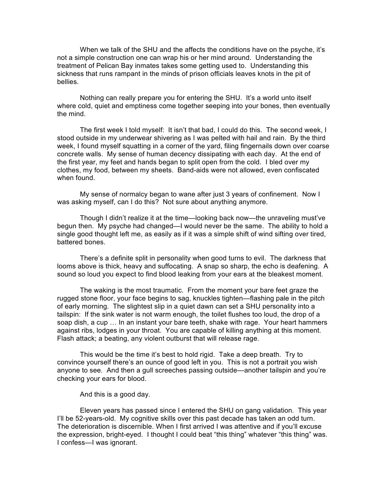When we talk of the SHU and the affects the conditions have on the psyche, it's not a simple construction one can wrap his or her mind around. Understanding the treatment of Pelican Bay inmates takes some getting used to. Understanding this sickness that runs rampant in the minds of prison officials leaves knots in the pit of bellies.

Nothing can really prepare you for entering the SHU. It's a world unto itself where cold, quiet and emptiness come together seeping into your bones, then eventually the mind.

The first week I told myself: It isn't that bad, I could do this. The second week, I stood outside in my underwear shivering as I was pelted with hail and rain. By the third week, I found myself squatting in a corner of the yard, filing fingernails down over coarse concrete walls. My sense of human decency dissipating with each day. At the end of the first year, my feet and hands began to split open from the cold. I bled over my clothes, my food, between my sheets. Band-aids were not allowed, even confiscated when found.

My sense of normalcy began to wane after just 3 years of confinement. Now I was asking myself, can I do this? Not sure about anything anymore.

Though I didn't realize it at the time—looking back now—the unraveling must've begun then. My psyche had changed—I would never be the same. The ability to hold a single good thought left me, as easily as if it was a simple shift of wind sifting over tired, battered bones.

There's a definite split in personality when good turns to evil. The darkness that looms above is thick, heavy and suffocating. A snap so sharp, the echo is deafening. A sound so loud you expect to find blood leaking from your ears at the bleakest moment.

The waking is the most traumatic. From the moment your bare feet graze the rugged stone floor, your face begins to sag, knuckles tighten—flashing pale in the pitch of early morning. The slightest slip in a quiet dawn can set a SHU personality into a tailspin: If the sink water is not warm enough, the toilet flushes too loud, the drop of a soap dish, a cup … In an instant your bare teeth, shake with rage. Your heart hammers against ribs, lodges in your throat. You are capable of killing anything at this moment. Flash attack; a beating, any violent outburst that will release rage.

This would be the time it's best to hold rigid. Take a deep breath. Try to convince yourself there's an ounce of good left in you. This is not a portrait you wish anyone to see. And then a gull screeches passing outside—another tailspin and you're checking your ears for blood.

And this is a good day.

Eleven years has passed since I entered the SHU on gang validation. This year I'll be 52-years-old. My cognitive skills over this past decade has taken an odd turn. The deterioration is discernible. When I first arrived I was attentive and if you'll excuse the expression, bright-eyed. I thought I could beat "this thing" whatever "this thing" was. I confess—I was ignorant.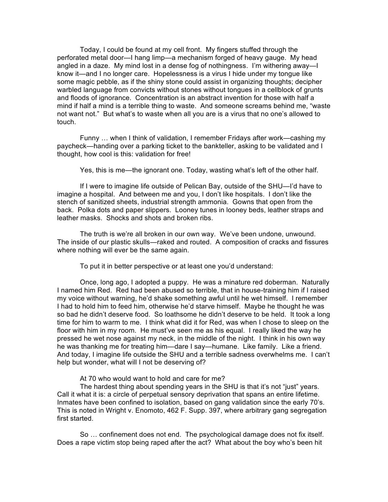Today, I could be found at my cell front. My fingers stuffed through the perforated metal door—I hang limp—a mechanism forged of heavy gauge. My head angled in a daze. My mind lost in a dense fog of nothingness. I'm withering away—I know it—and I no longer care. Hopelessness is a virus I hide under my tongue like some magic pebble, as if the shiny stone could assist in organizing thoughts; decipher warbled language from convicts without stones without tongues in a cellblock of grunts and floods of ignorance. Concentration is an abstract invention for those with half a mind if half a mind is a terrible thing to waste. And someone screams behind me, "waste not want not." But what's to waste when all you are is a virus that no one's allowed to touch.

Funny … when I think of validation, I remember Fridays after work—cashing my paycheck—handing over a parking ticket to the bankteller, asking to be validated and I thought, how cool is this: validation for free!

Yes, this is me—the ignorant one. Today, wasting what's left of the other half.

If I were to imagine life outside of Pelican Bay, outside of the SHU—I'd have to imagine a hospital. And between me and you, I don't like hospitals. I don't like the stench of sanitized sheets, industrial strength ammonia. Gowns that open from the back. Polka dots and paper slippers. Looney tunes in looney beds, leather straps and leather masks. Shocks and shots and broken ribs.

The truth is we're all broken in our own way. We've been undone, unwound. The inside of our plastic skulls—raked and routed. A composition of cracks and fissures where nothing will ever be the same again.

To put it in better perspective or at least one you'd understand:

Once, long ago, I adopted a puppy. He was a minature red doberman. Naturally I named him Red. Red had been abused so terrible, that in house-training him if I raised my voice without warning, he'd shake something awful until he wet himself. I remember I had to hold him to feed him, otherwise he'd starve himself. Maybe he thought he was so bad he didn't deserve food. So loathsome he didn't deserve to be held. It took a long time for him to warm to me. I think what did it for Red, was when I chose to sleep on the floor with him in my room. He must've seen me as his equal. I really liked the way he pressed he wet nose against my neck, in the middle of the night. I think in his own way he was thanking me for treating him—dare I say—humane. Like family. Like a friend. And today, I imagine life outside the SHU and a terrible sadness overwhelms me. I can't help but wonder, what will I not be deserving of?

At 70 who would want to hold and care for me?

The hardest thing about spending years in the SHU is that it's not "just" years. Call it what it is: a circle of perpetual sensory deprivation that spans an entire lifetime. Inmates have been confined to isolation, based on gang validation since the early 70's. This is noted in Wright v. Enomoto, 462 F. Supp. 397, where arbitrary gang segregation first started.

So … confinement does not end. The psychological damage does not fix itself. Does a rape victim stop being raped after the act? What about the boy who's been hit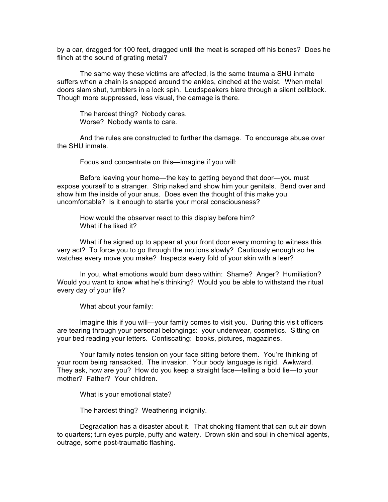by a car, dragged for 100 feet, dragged until the meat is scraped off his bones? Does he flinch at the sound of grating metal?

The same way these victims are affected, is the same trauma a SHU inmate suffers when a chain is snapped around the ankles, cinched at the waist. When metal doors slam shut, tumblers in a lock spin. Loudspeakers blare through a silent cellblock. Though more suppressed, less visual, the damage is there.

The hardest thing? Nobody cares. Worse? Nobody wants to care.

And the rules are constructed to further the damage. To encourage abuse over the SHU inmate.

Focus and concentrate on this—imagine if you will:

Before leaving your home—the key to getting beyond that door—you must expose yourself to a stranger. Strip naked and show him your genitals. Bend over and show him the inside of your anus. Does even the thought of this make you uncomfortable? Is it enough to startle your moral consciousness?

How would the observer react to this display before him? What if he liked it?

What if he signed up to appear at your front door every morning to witness this very act? To force you to go through the motions slowly? Cautiously enough so he watches every move you make? Inspects every fold of your skin with a leer?

In you, what emotions would burn deep within: Shame? Anger? Humiliation? Would you want to know what he's thinking? Would you be able to withstand the ritual every day of your life?

What about your family:

Imagine this if you will—your family comes to visit you. During this visit officers are tearing through your personal belongings: your underwear, cosmetics. Sitting on your bed reading your letters. Confiscating: books, pictures, magazines.

Your family notes tension on your face sitting before them. You're thinking of your room being ransacked. The invasion. Your body language is rigid. Awkward. They ask, how are you? How do you keep a straight face—telling a bold lie—to your mother? Father? Your children.

What is your emotional state?

The hardest thing? Weathering indignity.

Degradation has a disaster about it. That choking filament that can cut air down to quarters; turn eyes purple, puffy and watery. Drown skin and soul in chemical agents, outrage, some post-traumatic flashing.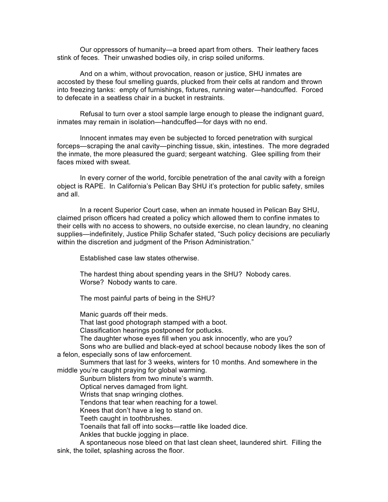Our oppressors of humanity—a breed apart from others. Their leathery faces stink of feces. Their unwashed bodies oily, in crisp soiled uniforms.

And on a whim, without provocation, reason or justice, SHU inmates are accosted by these foul smelling guards, plucked from their cells at random and thrown into freezing tanks: empty of furnishings, fixtures, running water—handcuffed. Forced to defecate in a seatless chair in a bucket in restraints.

Refusal to turn over a stool sample large enough to please the indignant guard, inmates may remain in isolation—handcuffed—for days with no end.

Innocent inmates may even be subjected to forced penetration with surgical forceps—scraping the anal cavity—pinching tissue, skin, intestines. The more degraded the inmate, the more pleasured the guard; sergeant watching. Glee spilling from their faces mixed with sweat.

In every corner of the world, forcible penetration of the anal cavity with a foreign object is RAPE. In California's Pelican Bay SHU it's protection for public safety, smiles and all.

In a recent Superior Court case, when an inmate housed in Pelican Bay SHU, claimed prison officers had created a policy which allowed them to confine inmates to their cells with no access to showers, no outside exercise, no clean laundry, no cleaning supplies—indefinitely, Justice Philip Schafer stated, "Such policy decisions are peculiarly within the discretion and judgment of the Prison Administration."

Established case law states otherwise.

The hardest thing about spending years in the SHU? Nobody cares. Worse? Nobody wants to care.

The most painful parts of being in the SHU?

Manic guards off their meds. That last good photograph stamped with a boot. Classification hearings postponed for potlucks. The daughter whose eyes fill when you ask innocently, who are you? Sons who are bullied and black-eyed at school because nobody likes the son of a felon, especially sons of law enforcement. Summers that last for 3 weeks, winters for 10 months. And somewhere in the middle you're caught praying for global warming. Sunburn blisters from two minute's warmth. Optical nerves damaged from light. Wrists that snap wringing clothes. Tendons that tear when reaching for a towel. Knees that don't have a leg to stand on. Teeth caught in toothbrushes. Toenails that fall off into socks—rattle like loaded dice. Ankles that buckle jogging in place. A spontaneous nose bleed on that last clean sheet, laundered shirt. Filling the sink, the toilet, splashing across the floor.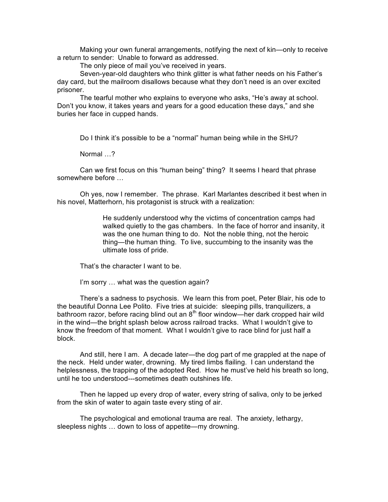Making your own funeral arrangements, notifying the next of kin—only to receive a return to sender: Unable to forward as addressed.

The only piece of mail you've received in years.

Seven-year-old daughters who think glitter is what father needs on his Father's day card, but the mailroom disallows because what they don't need is an over excited prisoner.

The tearful mother who explains to everyone who asks, "He's away at school. Don't you know, it takes years and years for a good education these days," and she buries her face in cupped hands.

Do I think it's possible to be a "normal" human being while in the SHU?

Normal …?

Can we first focus on this "human being" thing? It seems I heard that phrase somewhere before …

Oh yes, now I remember. The phrase. Karl Marlantes described it best when in his novel, Matterhorn, his protagonist is struck with a realization:

> He suddenly understood why the victims of concentration camps had walked quietly to the gas chambers. In the face of horror and insanity, it was the one human thing to do. Not the noble thing, not the heroic thing—the human thing. To live, succumbing to the insanity was the ultimate loss of pride.

That's the character I want to be.

I'm sorry … what was the question again?

There's a sadness to psychosis. We learn this from poet, Peter Blair, his ode to the beautiful Donna Lee Polito. Five tries at suicide: sleeping pills, tranquilizers, a bathroom razor, before racing blind out an  $8<sup>th</sup>$  floor window—her dark cropped hair wild in the wind—the bright splash below across railroad tracks. What I wouldn't give to know the freedom of that moment. What I wouldn't give to race blind for just half a block.

And still, here I am. A decade later—the dog part of me grappled at the nape of the neck. Held under water, drowning. My tired limbs flailing. I can understand the helplessness, the trapping of the adopted Red. How he must've held his breath so long, until he too understood---sometimes death outshines life.

Then he lapped up every drop of water, every string of saliva, only to be jerked from the skin of water to again taste every sting of air.

The psychological and emotional trauma are real. The anxiety, lethargy, sleepless nights … down to loss of appetite—my drowning.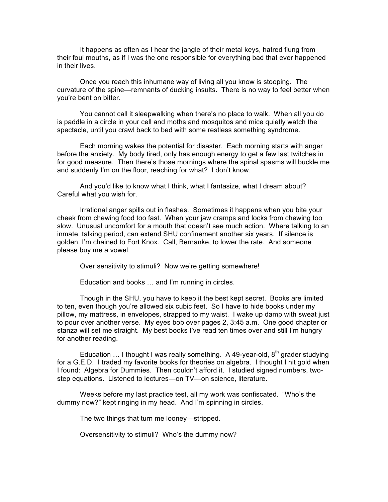It happens as often as I hear the jangle of their metal keys, hatred flung from their foul mouths, as if I was the one responsible for everything bad that ever happened in their lives.

Once you reach this inhumane way of living all you know is stooping. The curvature of the spine—remnants of ducking insults. There is no way to feel better when you're bent on bitter.

You cannot call it sleepwalking when there's no place to walk. When all you do is paddle in a circle in your cell and moths and mosquitos and mice quietly watch the spectacle, until you crawl back to bed with some restless something syndrome.

Each morning wakes the potential for disaster. Each morning starts with anger before the anxiety. My body tired, only has enough energy to get a few last twitches in for good measure. Then there's those mornings where the spinal spasms will buckle me and suddenly I'm on the floor, reaching for what? I don't know.

And you'd like to know what I think, what I fantasize, what I dream about? Careful what you wish for.

Irrational anger spills out in flashes. Sometimes it happens when you bite your cheek from chewing food too fast. When your jaw cramps and locks from chewing too slow. Unusual uncomfort for a mouth that doesn't see much action. Where talking to an inmate, talking period, can extend SHU confinement another six years. If silence is golden, I'm chained to Fort Knox. Call, Bernanke, to lower the rate. And someone please buy me a vowel.

Over sensitivity to stimuli? Now we're getting somewhere!

Education and books … and I'm running in circles.

Though in the SHU, you have to keep it the best kept secret. Books are limited to ten, even though you're allowed six cubic feet. So I have to hide books under my pillow, my mattress, in envelopes, strapped to my waist. I wake up damp with sweat just to pour over another verse. My eyes bob over pages 2, 3:45 a.m. One good chapter or stanza will set me straight. My best books I've read ten times over and still I'm hungry for another reading.

Education  $\dots$  I thought I was really something. A 49-year-old,  $8<sup>th</sup>$  grader studying for a G.E.D. I traded my favorite books for theories on algebra. I thought I hit gold when I found: Algebra for Dummies. Then couldn't afford it. I studied signed numbers, twostep equations. Listened to lectures—on TV—on science, literature.

Weeks before my last practice test, all my work was confiscated. "Who's the dummy now?" kept ringing in my head. And I'm spinning in circles.

The two things that turn me looney—stripped.

Oversensitivity to stimuli? Who's the dummy now?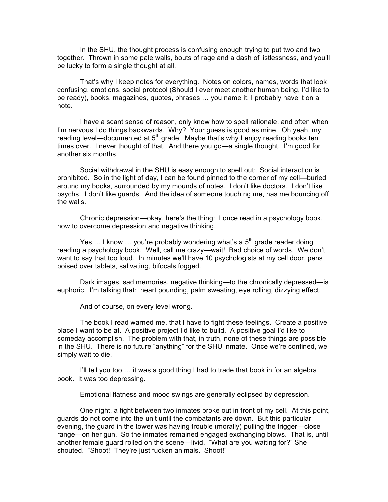In the SHU, the thought process is confusing enough trying to put two and two together. Thrown in some pale walls, bouts of rage and a dash of listlessness, and you'll be lucky to form a single thought at all.

That's why I keep notes for everything. Notes on colors, names, words that look confusing, emotions, social protocol (Should I ever meet another human being, I'd like to be ready), books, magazines, quotes, phrases … you name it, I probably have it on a note.

I have a scant sense of reason, only know how to spell rationale, and often when I'm nervous I do things backwards. Why? Your guess is good as mine. Oh yeah, my reading level—documented at  $5<sup>th</sup>$  grade. Maybe that's why I enjoy reading books ten times over. I never thought of that. And there you go—a single thought. I'm good for another six months.

Social withdrawal in the SHU is easy enough to spell out: Social interaction is prohibited. So in the light of day, I can be found pinned to the corner of my cell—buried around my books, surrounded by my mounds of notes. I don't like doctors. I don't like psychs. I don't like guards. And the idea of someone touching me, has me bouncing off the walls.

Chronic depression—okay, here's the thing: I once read in a psychology book, how to overcome depression and negative thinking.

Yes  $\dots$  I know  $\dots$  you're probably wondering what's a  $5<sup>th</sup>$  grade reader doing reading a psychology book. Well, call me crazy—wait! Bad choice of words. We don't want to say that too loud. In minutes we'll have 10 psychologists at my cell door, pens poised over tablets, salivating, bifocals fogged.

Dark images, sad memories, negative thinking—to the chronically depressed—is euphoric. I'm talking that: heart pounding, palm sweating, eye rolling, dizzying effect.

And of course, on every level wrong.

The book I read warned me, that I have to fight these feelings. Create a positive place I want to be at. A positive project I'd like to build. A positive goal I'd like to someday accomplish. The problem with that, in truth, none of these things are possible in the SHU. There is no future "anything" for the SHU inmate. Once we're confined, we simply wait to die.

I'll tell you too … it was a good thing I had to trade that book in for an algebra book. It was too depressing.

Emotional flatness and mood swings are generally eclipsed by depression.

One night, a fight between two inmates broke out in front of my cell. At this point, guards do not come into the unit until the combatants are down. But this particular evening, the guard in the tower was having trouble (morally) pulling the trigger—close range—on her gun. So the inmates remained engaged exchanging blows. That is, until another female guard rolled on the scene—livid. "What are you waiting for?" She shouted. "Shoot! They're just fucken animals. Shoot!"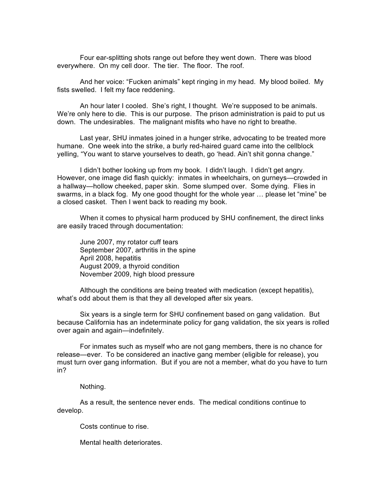Four ear-splitting shots range out before they went down. There was blood everywhere. On my cell door. The tier. The floor. The roof.

And her voice: "Fucken animals" kept ringing in my head. My blood boiled. My fists swelled. I felt my face reddening.

An hour later I cooled. She's right, I thought. We're supposed to be animals. We're only here to die. This is our purpose. The prison administration is paid to put us down. The undesirables. The malignant misfits who have no right to breathe.

Last year, SHU inmates joined in a hunger strike, advocating to be treated more humane. One week into the strike, a burly red-haired guard came into the cellblock yelling, "You want to starve yourselves to death, go 'head. Ain't shit gonna change."

I didn't bother looking up from my book. I didn't laugh. I didn't get angry. However, one image did flash quickly: inmates in wheelchairs, on gurneys—crowded in a hallway—hollow cheeked, paper skin. Some slumped over. Some dying. Flies in swarms, in a black fog. My one good thought for the whole year … please let "mine" be a closed casket. Then I went back to reading my book.

When it comes to physical harm produced by SHU confinement, the direct links are easily traced through documentation:

June 2007, my rotator cuff tears September 2007, arthritis in the spine April 2008, hepatitis August 2009, a thyroid condition November 2009, high blood pressure

Although the conditions are being treated with medication (except hepatitis), what's odd about them is that they all developed after six years.

Six years is a single term for SHU confinement based on gang validation. But because California has an indeterminate policy for gang validation, the six years is rolled over again and again—indefinitely.

For inmates such as myself who are not gang members, there is no chance for release—ever. To be considered an inactive gang member (eligible for release), you must turn over gang information. But if you are not a member, what do you have to turn in?

## Nothing.

As a result, the sentence never ends. The medical conditions continue to develop.

Costs continue to rise.

Mental health deteriorates.